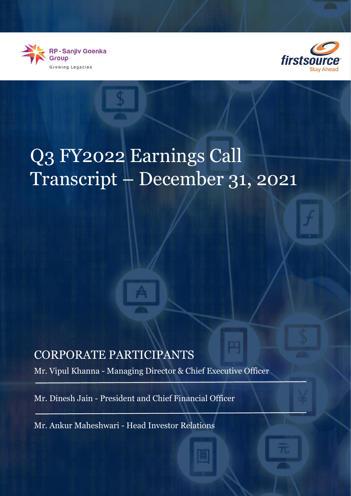



## Q3 FY2022 Earnings Call Transcript – December 31, 2021

## CORPORATE PARTICIPANTS

Mr. Vipul Khanna - Managing Director & Chief Executive Officer

Mr. Dinesh Jain - President and Chief Financial Officer

Mr. Ankur Maheshwari - Head Investor Relations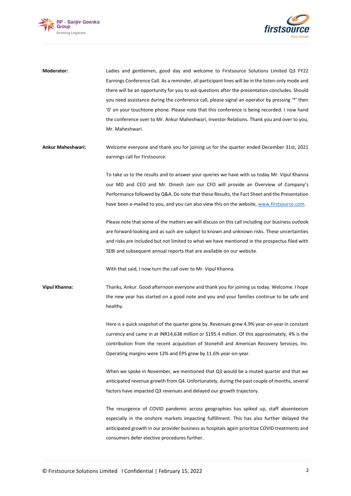



**Moderator:** Ladies and gentlemen, good day and welcome to Firstsource Solutions Limited Q3 FY22 Earnings Conference Call. As a reminder, all participant lines will be in the listen-only mode and there will be an opportunity for you to ask questions after the presentation concludes. Should you need assistance during the conference call, please signal an operator by pressing '\*' then '0' on your touchtone phone. Please note that this conference is being recorded. I now hand the conference over to Mr. Ankur Maheshwari, Investor Relations. Thank you and over to you, Mr. Maheshwari. **Ankur Maheshwari:** Welcome everyone and thank you for joining us for the quarter ended December 31st, 2021 earnings call for Firstsource. To take us to the results and to answer your queries we have with us today Mr. Vipul Khanna our MD and CEO and Mr. Dinesh Jain our CFO will provide an Overview of Company's Performance followed by Q&A. Do note that these Results, the Fact Sheet and the Presentation have been e-mailed to you, and you can also view this on the website, [www.firstsource.com.](http://www.firstsource.com/) Please note that some of the matters we will discuss on this call including our business outlook are forward-looking and as such are subject to known and unknown risks. These uncertainties and risks are included but not limited to what we have mentioned in the prospectus filed with SEBI and subsequent annual reports that are available on our website. With that said, I now turn the call over to Mr. Vipul Khanna. **Vipul Khanna:** Thanks, Ankur. Good afternoon everyone and thank you for joining us today. Welcome. I hope the new year has started on a good note and you and your families continue to be safe and healthy.

Here is a quick snapshot of the quarter gone by. Revenues grew 4.9% year-on-year in constant currency and came in at INR14,638 million or \$195.4 million. Of this approximately, 4% is the contribution from the recent acquisition of Stonehill and American Recovery Services, Inc. Operating margins were 12% and EPS grew by 11.6% year-on-year.

When we spoke in November, we mentioned that Q3 would be a muted quarter and that we anticipated revenue growth from Q4. Unfortunately, during the past couple of months, several factors have impacted Q3 revenues and delayed our growth trajectory.

The resurgence of COVID pandemic across geographies has spiked up, staff absenteeism especially in the onshore markets impacting fulfillment. This has also further delayed the anticipated growth in our provider business as hospitals again prioritize COVID treatments and consumers defer elective procedures further.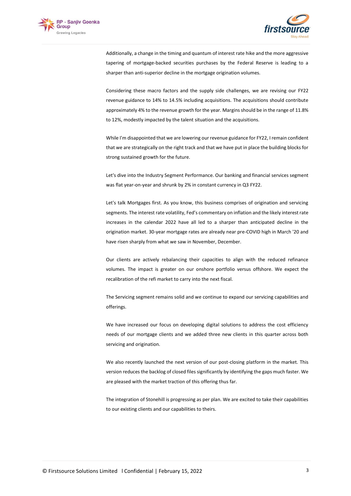



Additionally, a change in the timing and quantum of interest rate hike and the more aggressive tapering of mortgage-backed securities purchases by the Federal Reserve is leading to a sharper than anti-superior decline in the mortgage origination volumes.

Considering these macro factors and the supply side challenges, we are revising our FY22 revenue guidance to 14% to 14.5% including acquisitions. The acquisitions should contribute approximately 4% to the revenue growth for the year. Margins should be in the range of 11.8% to 12%, modestly impacted by the talent situation and the acquisitions.

While I'm disappointed that we are lowering our revenue guidance for FY22, I remain confident that we are strategically on the right track and that we have put in place the building blocks for strong sustained growth for the future.

Let's dive into the Industry Segment Performance. Our banking and financial services segment was flat year-on-year and shrunk by 2% in constant currency in Q3 FY22.

Let's talk Mortgages first. As you know, this business comprises of origination and servicing segments. The interest rate volatility, Fed's commentary on inflation and the likely interest rate increases in the calendar 2022 have all led to a sharper than anticipated decline in the origination market. 30-year mortgage rates are already near pre-COVID high in March '20 and have risen sharply from what we saw in November, December.

Our clients are actively rebalancing their capacities to align with the reduced refinance volumes. The impact is greater on our onshore portfolio versus offshore. We expect the recalibration of the refi market to carry into the next fiscal.

The Servicing segment remains solid and we continue to expand our servicing capabilities and offerings.

We have increased our focus on developing digital solutions to address the cost efficiency needs of our mortgage clients and we added three new clients in this quarter across both servicing and origination.

We also recently launched the next version of our post-closing platform in the market. This version reduces the backlog of closed files significantly by identifying the gaps much faster. We are pleased with the market traction of this offering thus far.

The integration of Stonehill is progressing as per plan. We are excited to take their capabilities to our existing clients and our capabilities to theirs.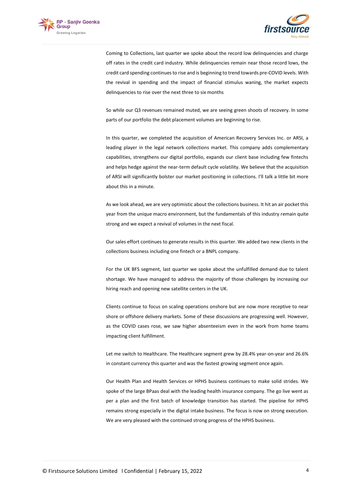



Coming to Collections, last quarter we spoke about the record low delinquencies and charge off rates in the credit card industry. While delinquencies remain near those record lows, the credit card spending continues to rise and is beginning to trend towards pre-COVID levels. With the revival in spending and the impact of financial stimulus waning, the market expects delinquencies to rise over the next three to six months

So while our Q3 revenues remained muted, we are seeing green shoots of recovery. In some parts of our portfolio the debt placement volumes are beginning to rise.

In this quarter, we completed the acquisition of American Recovery Services Inc. or ARSI, a leading player in the legal network collections market. This company adds complementary capabilities, strengthens our digital portfolio, expands our client base including few fintechs and helps hedge against the near-term default cycle volatility. We believe that the acquisition of ARSI will significantly bolster our market positioning in collections. I'll talk a little bit more about this in a minute.

As we look ahead, we are very optimistic about the collections business. It hit an air pocket this year from the unique macro environment, but the fundamentals of this industry remain quite strong and we expect a revival of volumes in the next fiscal.

Our sales effort continues to generate results in this quarter. We added two new clients in the collections business including one fintech or a BNPL company.

For the UK BFS segment, last quarter we spoke about the unfulfilled demand due to talent shortage. We have managed to address the majority of those challenges by increasing our hiring reach and opening new satellite centers in the UK.

Clients continue to focus on scaling operations onshore but are now more receptive to near shore or offshore delivery markets. Some of these discussions are progressing well. However, as the COVID cases rose, we saw higher absenteeism even in the work from home teams impacting client fulfillment.

Let me switch to Healthcare. The Healthcare segment grew by 28.4% year-on-year and 26.6% in constant currency this quarter and was the fastest growing segment once again.

Our Health Plan and Health Services or HPHS business continues to make solid strides. We spoke of the large BPaas deal with the leading health insurance company. The go live went as per a plan and the first batch of knowledge transition has started. The pipeline for HPHS remains strong especially in the digital intake business. The focus is now on strong execution. We are very pleased with the continued strong progress of the HPHS business.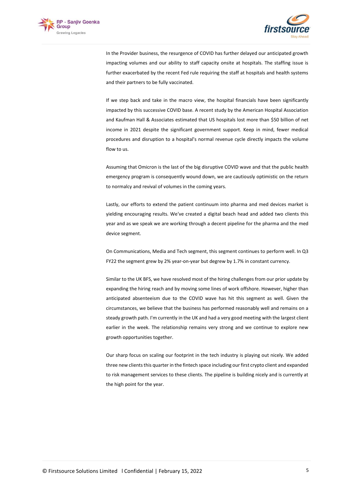



In the Provider business, the resurgence of COVID has further delayed our anticipated growth impacting volumes and our ability to staff capacity onsite at hospitals. The staffing issue is further exacerbated by the recent Fed rule requiring the staff at hospitals and health systems and their partners to be fully vaccinated.

If we step back and take in the macro view, the hospital financials have been significantly impacted by this successive COVID base. A recent study by the American Hospital Association and Kaufman Hall & Associates estimated that US hospitals lost more than \$50 billion of net income in 2021 despite the significant government support. Keep in mind, fewer medical procedures and disruption to a hospital's normal revenue cycle directly impacts the volume flow to us.

Assuming that Omicron is the last of the big disruptive COVID wave and that the public health emergency program is consequently wound down, we are cautiously optimistic on the return to normalcy and revival of volumes in the coming years.

Lastly, our efforts to extend the patient continuum into pharma and med devices market is yielding encouraging results. We've created a digital beach head and added two clients this year and as we speak we are working through a decent pipeline for the pharma and the med device segment.

On Communications, Media and Tech segment, this segment continues to perform well. In Q3 FY22 the segment grew by 2% year-on-year but degrew by 1.7% in constant currency.

Similar to the UK BFS, we have resolved most of the hiring challenges from our prior update by expanding the hiring reach and by moving some lines of work offshore. However, higher than anticipated absenteeism due to the COVID wave has hit this segment as well. Given the circumstances, we believe that the business has performed reasonably well and remains on a steady growth path. I'm currently in the UK and had a very good meeting with the largest client earlier in the week. The relationship remains very strong and we continue to explore new growth opportunities together.

Our sharp focus on scaling our footprint in the tech industry is playing out nicely. We added three new clients this quarter in the fintech space including our first crypto client and expanded to risk management services to these clients. The pipeline is building nicely and is currently at the high point for the year.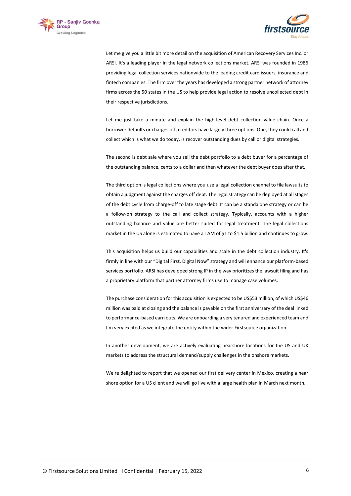



Let me give you a little bit more detail on the acquisition of American Recovery Services Inc. or ARSI. It's a leading player in the legal network collections market. ARSI was founded in 1986 providing legal collection services nationwide to the leading credit card issuers, insurance and fintech companies. The firm over the years has developed a strong partner network of attorney firms across the 50 states in the US to help provide legal action to resolve uncollected debt in their respective jurisdictions.

Let me just take a minute and explain the high-level debt collection value chain. Once a borrower defaults or charges off, creditors have largely three options: One, they could call and collect which is what we do today, is recover outstanding dues by call or digital strategies.

The second is debt sale where you sell the debt portfolio to a debt buyer for a percentage of the outstanding balance, cents to a dollar and then whatever the debt buyer does after that.

The third option is legal collections where you use a legal collection channel to file lawsuits to obtain a judgment against the charges off debt. The legal strategy can be deployed at all stages of the debt cycle from charge-off to late stage debt. It can be a standalone strategy or can be a follow-on strategy to the call and collect strategy. Typically, accounts with a higher outstanding balance and value are better suited for legal treatment. The legal collections market in the US alone is estimated to have a TAM of \$1 to \$1.5 billion and continues to grow.

This acquisition helps us build our capabilities and scale in the debt collection industry. It's firmly in line with our "Digital First, Digital Now" strategy and will enhance our platform-based services portfolio. ARSI has developed strong IP in the way prioritizes the lawsuit filing and has a proprietary platform that partner attorney firms use to manage case volumes.

The purchase consideration for this acquisition is expected to be US\$53 million, of which US\$46 million was paid at closing and the balance is payable on the first anniversary of the deal linked to performance-based earn outs. We are onboarding a very tenured and experienced team and I'm very excited as we integrate the entity within the wider Firstsource organization.

In another development, we are actively evaluating nearshore locations for the US and UK markets to address the structural demand/supply challenges in the onshore markets.

We're delighted to report that we opened our first delivery center in Mexico, creating a near shore option for a US client and we will go live with a large health plan in March next month.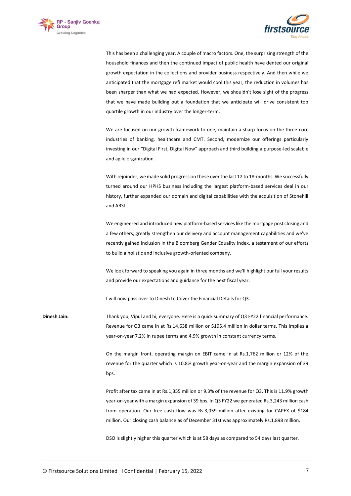



This has been a challenging year. A couple of macro factors. One, the surprising strength of the household finances and then the continued impact of public health have dented our original growth expectation in the collections and provider business respectively. And then while we anticipated that the mortgage refi market would cool this year, the reduction in volumes has been sharper than what we had expected. However, we shouldn't lose sight of the progress that we have made building out a foundation that we anticipate will drive consistent top quartile growth in our industry over the longer-term.

We are focused on our growth framework to one, maintain a sharp focus on the three core industries of banking, healthcare and CMT. Second, modernize our offerings particularly investing in our "Digital First, Digital Now" approach and third building a purpose-led scalable and agile organization.

With rejoinder, we made solid progress on these over the last 12 to 18-months. We successfully turned around our HPHS business including the largest platform-based services deal in our history, further expanded our domain and digital capabilities with the acquisition of Stonehill and ARSI.

We engineered and introduced new platform-based services like the mortgage post closing and a few others, greatly strengthen our delivery and account management capabilities and we've recently gained inclusion in the Bloomberg Gender Equality Index, a testament of our efforts to build a holistic and inclusive growth-oriented company.

We look forward to speaking you again in three months and we'll highlight our full your results and provide our expectations and guidance for the next fiscal year.

I will now pass over to Dinesh to Cover the Financial Details for Q3.

**Dinesh Jain:** Thank you, Vipul and hi, everyone. Here is a quick summary of Q3 FY22 financial performance. Revenue for Q3 came in at Rs.14,638 million or \$195.4 million in dollar terms. This implies a year-on-year 7.2% in rupee terms and 4.9% growth in constant currency terms.

> On the margin front, operating margin on EBIT came in at Rs.1,762 million or 12% of the revenue for the quarter which is 10.8% growth year-on-year and the margin expansion of 39 bps.

> Profit after tax came in at Rs.1,355 million or 9.3% of the revenue for Q3. This is 11.9% growth year-on-year with a margin expansion of 39 bps. In Q3 FY22 we generated Rs.3,243 million cash from operation. Our free cash flow was Rs.3,059 million after existing for CAPEX of \$184 million. Our closing cash balance as of December 31st was approximately Rs.1,898 million.

DSO is slightly higher this quarter which is at 58 days as compared to 54 days last quarter.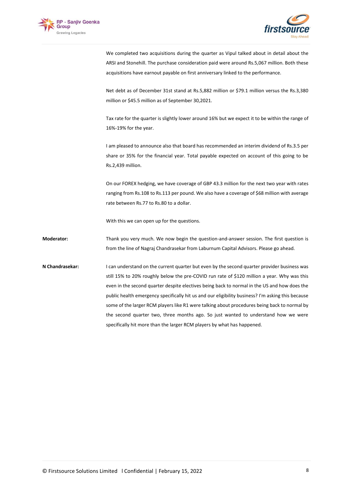



We completed two acquisitions during the quarter as Vipul talked about in detail about the ARSI and Stonehill. The purchase consideration paid were around Rs.5,067 million. Both these acquisitions have earnout payable on first anniversary linked to the performance.

Net debt as of December 31st stand at Rs.5,882 million or \$79.1 million versus the Rs.3,380 million or \$45.5 million as of September 30,2021.

Tax rate for the quarter is slightly lower around 16% but we expect it to be within the range of 16%-19% for the year.

I am pleased to announce also that board has recommended an interim dividend of Rs.3.5 per share or 35% for the financial year. Total payable expected on account of this going to be Rs.2,439 million.

On our FOREX hedging, we have coverage of GBP 43.3 million for the next two year with rates ranging from Rs.108 to Rs.113 per pound. We also have a coverage of \$68 million with average rate between Rs.77 to Rs.80 to a dollar.

With this we can open up for the questions.

**Moderator:** Thank you very much. We now begin the question-and-answer session. The first question is from the line of Nagraj Chandrasekar from Laburnum Capital Advisors. Please go ahead.

**N Chandrasekar:** I can understand on the current quarter but even by the second quarter provider business was still 15% to 20% roughly below the pre-COVID run rate of \$120 million a year. Why was this even in the second quarter despite electives being back to normal in the US and how does the public health emergency specifically hit us and our eligibility business? I'm asking this because some of the larger RCM players like R1 were talking about procedures being back to normal by the second quarter two, three months ago. So just wanted to understand how we were specifically hit more than the larger RCM players by what has happened.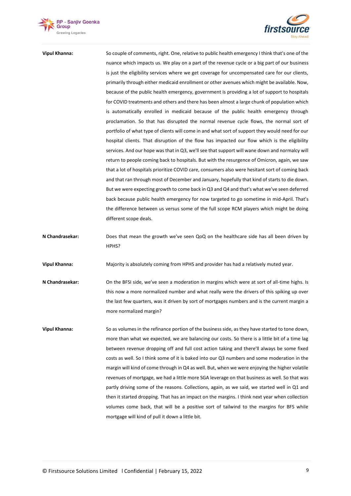



**Vipul Khanna:** So couple of comments, right. One, relative to public health emergency I think that's one of the nuance which impacts us. We play on a part of the revenue cycle or a big part of our business is just the eligibility services where we get coverage for uncompensated care for our clients, primarily through either medicaid enrollment or other avenues which might be available. Now, because of the public health emergency, government is providing a lot of support to hospitals for COVID treatments and others and there has been almost a large chunk of population which is automatically enrolled in medicaid because of the public health emergency through proclamation. So that has disrupted the normal revenue cycle flows, the normal sort of portfolio of what type of clients will come in and what sort of support they would need for our hospital clients. That disruption of the flow has impacted our flow which is the eligibility services. And our hope was that in Q3, we'll see that support will wane down and normalcy will return to people coming back to hospitals. But with the resurgence of Omicron, again, we saw that a lot of hospitals prioritize COVID care, consumers also were hesitant sort of coming back and that ran through most of December and January, hopefully that kind of starts to die down. But we were expecting growth to come back in Q3 and Q4 and that's what we've seen deferred back because public health emergency for now targeted to go sometime in mid-April. That's the difference between us versus some of the full scope RCM players which might be doing different scope deals.

**N Chandrasekar:** Does that mean the growth we've seen QoQ on the healthcare side has all been driven by HPHS?

**Vipul Khanna:** Majority is absolutely coming from HPHS and provider has had a relatively muted year.

- **N Chandrasekar:** On the BFSI side, we've seen a moderation in margins which were at sort of all-time highs. Is this now a more normalized number and what really were the drivers of this spiking up over the last few quarters, was it driven by sort of mortgages numbers and is the current margin a more normalized margin?
- **Vipul Khanna:** So as volumes in the refinance portion of the business side, as they have started to tone down, more than what we expected, we are balancing our costs. So there is a little bit of a time lag between revenue dropping off and full cost action taking and there'll always be some fixed costs as well. So I think some of it is baked into our Q3 numbers and some moderation in the margin will kind of come through in Q4 as well. But, when we were enjoying the higher volatile revenues of mortgage, we had a little more SGA leverage on that business as well. So that was partly driving some of the reasons. Collections, again, as we said, we started well in Q1 and then it started dropping. That has an impact on the margins. I think next year when collection volumes come back, that will be a positive sort of tailwind to the margins for BFS while mortgage will kind of pull it down a little bit.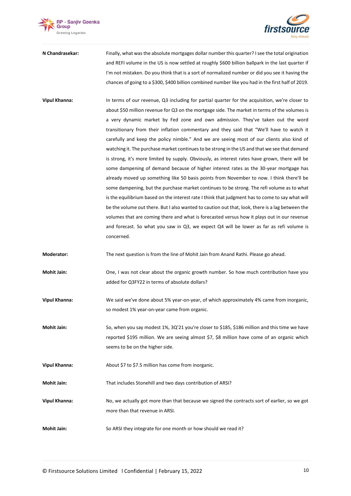



**N Chandrasekar:** Finally, what was the absolute mortgages dollar number this quarter? I see the total origination and REFI volume in the US is now settled at roughly \$600 billion ballpark in the last quarter if I'm not mistaken. Do you think that is a sort of normalized number or did you see it having the chances of going to a \$300, \$400 billion combined number like you had in the first half of 2019.

**Vipul Khanna:** In terms of our revenue, Q3 including for partial quarter for the acquisition, we're closer to about \$50 million revenue for Q3 on the mortgage side. The market in terms of the volumes is a very dynamic market by Fed zone and own admission. They've taken out the word transitionary from their inflation commentary and they said that "We'll have to watch it carefully and keep the policy nimble." And we are seeing most of our clients also kind of watching it. The purchase market continues to be strong in the US and that we see that demand is strong, it's more limited by supply. Obviously, as interest rates have grown, there will be some dampening of demand because of higher interest rates as the 30-year mortgage has already moved up something like 50 basis points from November to now. I think there'll be some dampening, but the purchase market continues to be strong. The refi volume as to what is the equilibrium based on the interest rate I think that judgment has to come to say what will be the volume out there. But I also wanted to caution out that, look, there is a lag between the volumes that are coming there and what is forecasted versus how it plays out in our revenue and forecast. So what you saw in Q3, we expect Q4 will be lower as far as refi volume is concerned.

**Moderator:** The next question is from the line of Mohit Jain from Anand Rathi. Please go ahead.

- **Mohit Jain:** One, I was not clear about the organic growth number. So how much contribution have you added for Q3FY22 in terms of absolute dollars?
- **Vipul Khanna:** We said we've done about 5% year-on-year, of which approximately 4% came from inorganic, so modest 1% year-on-year came from organic.
- **Mohit Jain:** So, when you say modest 1%, 3Q'21 you're closer to \$185, \$186 million and this time we have reported \$195 million. We are seeing almost \$7, \$8 million have come of an organic which seems to be on the higher side.

**Vipul Khanna:** About \$7 to \$7.5 million has come from inorganic.

**Mohit Jain:** That includes Stonehill and two days contribution of ARSI?

- **Vipul Khanna:** No, we actually got more than that because we signed the contracts sort of earlier, so we got more than that revenue in ARSI.
- **Mohit Jain:** So ARSI they integrate for one month or how should we read it?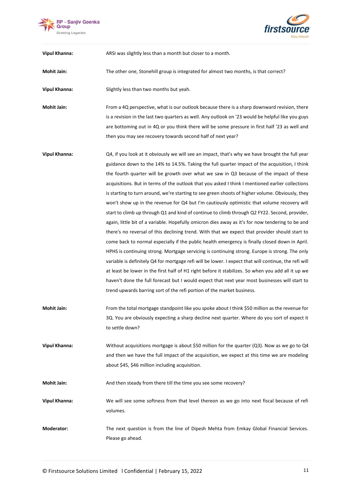



**Vipul Khanna:** ARSI was slightly less than a month but closer to a month.

**Mohit Jain:** The other one, Stonehill group is integrated for almost two months, is that correct?

**Vipul Khanna:** Slightly less than two months but yeah.

**Mohit Jain:** From a 4Q perspective, what is our outlook because there is a sharp downward revision, there is a revision in the last two quarters as well. Any outlook on '23 would be helpful like you guys are bottoming out in 4Q or you think there will be some pressure in first half '23 as well and then you may see recovery towards second half of next year?

- **Vipul Khanna:** Q4, if you look at it obviously we will see an impact, that's why we have brought the full year guidance down to the 14% to 14.5%. Taking the full quarter impact of the acquisition, I think the fourth quarter will be growth over what we saw in Q3 because of the impact of these acquisitions. But in terms of the outlook that you asked I think I mentioned earlier collections is starting to turn around, we're starting to see green shoots of higher volume. Obviously, they won't show up in the revenue for Q4 but I'm cautiously optimistic that volume recovery will start to climb up through Q1 and kind of continue to climb through Q2 FY22. Second, provider, again, little bit of a variable. Hopefully omicron dies away as it's for now tendering to be and there's no reversal of this declining trend. With that we expect that provider should start to come back to normal especially if the public health emergency is finally closed down in April. HPHS is continuing strong. Mortgage servicing is continuing strong. Europe is strong. The only variable is definitely Q4 for mortgage refi will be lower. I expect that will continue, the refi will at least be lower in the first half of H1 right before it stabilizes. So when you add all it up we haven't done the full forecast but I would expect that next year most businesses will start to trend upwards barring sort of the refi portion of the market business.
- **Mohit Jain:** From the total mortgage standpoint like you spoke about I think \$50 million as the revenue for 3Q. You are obviously expecting a sharp decline next quarter. Where do you sort of expect it to settle down?
- **Vipul Khanna:** Without acquisitions mortgage is about \$50 million for the quarter (Q3). Now as we go to Q4 and then we have the full impact of the acquisition, we expect at this time we are modeling about \$45, \$46 million including acquisition.

**Mohit Jain:** And then steady from there till the time you see some recovery?

**Vipul Khanna:** We will see some softness from that level thereon as we go into next fiscal because of refi volumes.

**Moderator:** The next question is from the line of Dipesh Mehta from Emkay Global Financial Services. Please go ahead.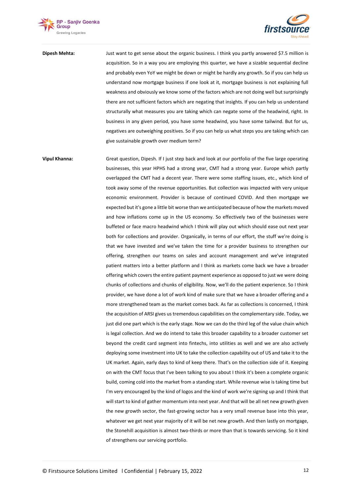



**Dipesh Mehta:** Just want to get sense about the organic business. I think you partly answered \$7.5 million is acquisition. So in a way you are employing this quarter, we have a sizable sequential decline and probably even YoY we might be down or might be hardly any growth. So if you can help us understand now mortgage business if one look at it, mortgage business is not explaining full weakness and obviously we know some of the factors which are not doing well but surprisingly there are not sufficient factors which are negating that insights. If you can help us understand structurally what measures you are taking which can negate some of the headwind, right. In business in any given period, you have some headwind, you have some tailwind. But for us, negatives are outweighing positives. So if you can help us what steps you are taking which can give sustainable growth over medium term?

**Vipul Khanna:** Great question, Dipesh. If I just step back and look at our portfolio of the five large operating businesses, this year HPHS had a strong year, CMT had a strong year. Europe which partly overlapped the CMT had a decent year. There were some staffing issues, etc., which kind of took away some of the revenue opportunities. But collection was impacted with very unique economic environment. Provider is because of continued COVID. And then mortgage we expected but it's gone a little bit worse than we anticipated because of how the markets moved and how inflations come up in the US economy. So effectively two of the businesses were buffeted or face macro headwind which I think will play out which should ease out next year both for collections and provider. Organically, in terms of our effort, the stuff we're doing is that we have invested and we've taken the time for a provider business to strengthen our offering, strengthen our teams on sales and account management and we've integrated patient matters into a better platform and I think as markets come back we have a broader offering which covers the entire patient payment experience as opposed to just we were doing chunks of collections and chunks of eligibility. Now, we'll do the patient experience. So I think provider, we have done a lot of work kind of make sure that we have a broader offering and a more strengthened team as the market comes back. As far as collections is concerned, I think the acquisition of ARSI gives us tremendous capabilities on the complementary side. Today, we just did one part which is the early stage. Now we can do the third leg of the value chain which is legal collection. And we do intend to take this broader capability to a broader customer set beyond the credit card segment into fintechs, into utilities as well and we are also actively deploying some investment into UK to take the collection capability out of US and take it to the UK market. Again, early days to kind of keep there. That's on the collection side of it. Keeping on with the CMT focus that I've been talking to you about I think it's been a complete organic build, coming cold into the market from a standing start. While revenue wise is taking time but I'm very encouraged by the kind of logos and the kind of work we're signing up and I think that will start to kind of gather momentum into next year. And that will be all net new growth given the new growth sector, the fast-growing sector has a very small revenue base into this year, whatever we get next year majority of it will be net new growth. And then lastly on mortgage, the Stonehill acquisition is almost two-thirds or more than that is towards servicing. So it kind of strengthens our servicing portfolio.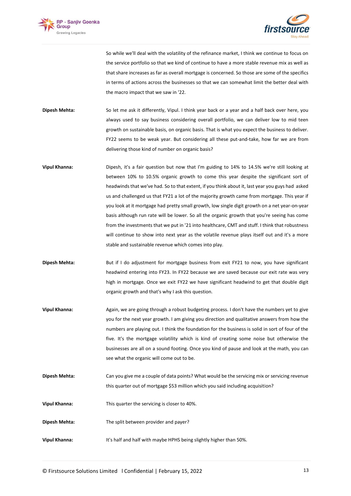



So while we'll deal with the volatility of the refinance market, I think we continue to focus on the service portfolio so that we kind of continue to have a more stable revenue mix as well as that share increases as far as overall mortgage is concerned. So those are some of the specifics in terms of actions across the businesses so that we can somewhat limit the better deal with the macro impact that we saw in '22.

**Dipesh Mehta:** So let me ask it differently, Vipul. I think year back or a year and a half back over here, you always used to say business considering overall portfolio, we can deliver low to mid teen growth on sustainable basis, on organic basis. That is what you expect the business to deliver. FY22 seems to be weak year. But considering all these put-and-take, how far we are from delivering those kind of number on organic basis?

- **Vipul Khanna:** Dipesh, it's a fair question but now that I'm guiding to 14% to 14.5% we're still looking at between 10% to 10.5% organic growth to come this year despite the significant sort of headwinds that we've had. So to that extent, if you think about it, last year you guys had asked us and challenged us that FY21 a lot of the majority growth came from mortgage. This year if you look at it mortgage had pretty small growth, low single digit growth on a net year-on-year basis although run rate will be lower. So all the organic growth that you're seeing has come from the investments that we put in '21 into healthcare, CMT and stuff. I think that robustness will continue to show into next year as the volatile revenue plays itself out and it's a more stable and sustainable revenue which comes into play.
- **Dipesh Mehta:** But if I do adjustment for mortgage business from exit FY21 to now, you have significant headwind entering into FY23. In FY22 because we are saved because our exit rate was very high in mortgage. Once we exit FY22 we have significant headwind to get that double digit organic growth and that's why I ask this question.
- **Vipul Khanna:** Again, we are going through a robust budgeting process. I don't have the numbers yet to give you for the next year growth. I am giving you direction and qualitative answers from how the numbers are playing out. I think the foundation for the business is solid in sort of four of the five. It's the mortgage volatility which is kind of creating some noise but otherwise the businesses are all on a sound footing. Once you kind of pause and look at the math, you can see what the organic will come out to be.
- **Dipesh Mehta:** Can you give me a couple of data points? What would be the servicing mix or servicing revenue this quarter out of mortgage \$53 million which you said including acquisition?
- **Vipul Khanna:** This quarter the servicing is closer to 40%.
- **Dipesh Mehta:** The split between provider and payer?
- **Vipul Khanna:** It's half and half with maybe HPHS being slightly higher than 50%.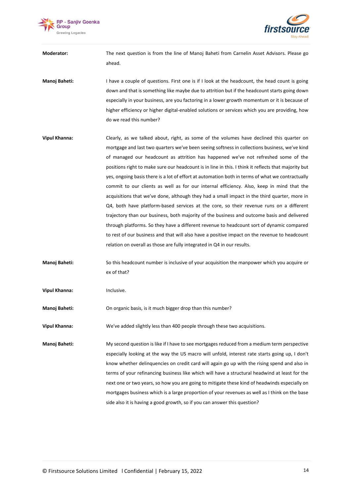



**Moderator:** The next question is from the line of Manoj Baheti from Carnelin Asset Advisors. Please go ahead.

**Manoj Baheti:** I have a couple of questions. First one is if I look at the headcount, the head count is going down and that is something like maybe due to attrition but if the headcount starts going down especially in your business, are you factoring in a lower growth momentum or it is because of higher efficiency or higher digital-enabled solutions or services which you are providing, how do we read this number?

- **Vipul Khanna:** Clearly, as we talked about, right, as some of the volumes have declined this quarter on mortgage and last two quarters we've been seeing softness in collections business, we've kind of managed our headcount as attrition has happened we've not refreshed some of the positions right to make sure our headcount is in line in this. I think it reflects that majority but yes, ongoing basis there is a lot of effort at automation both in terms of what we contractually commit to our clients as well as for our internal efficiency. Also, keep in mind that the acquisitions that we've done, although they had a small impact in the third quarter, more in Q4, both have platform-based services at the core, so their revenue runs on a different trajectory than our business, both majority of the business and outcome basis and delivered through platforms. So they have a different revenue to headcount sort of dynamic compared to rest of our business and that will also have a positive impact on the revenue to headcount relation on overall as those are fully integrated in Q4 in our results.
- **Manoj Baheti:** So this headcount number is inclusive of your acquisition the manpower which you acquire or ex of that?
- **Vipul Khanna:** Inclusive.

**Manoj Baheti:** On organic basis, is it much bigger drop than this number?

**Vipul Khanna:** We've added slightly less than 400 people through these two acquisitions.

**Manoj Baheti:** My second question is like if I have to see mortgages reduced from a medium term perspective especially looking at the way the US macro will unfold, interest rate starts going up, I don't know whether delinquencies on credit card will again go up with the rising spend and also in terms of your refinancing business like which will have a structural headwind at least for the next one or two years, so how you are going to mitigate these kind of headwinds especially on mortgages business which is a large proportion of your revenues as well as I think on the base side also it is having a good growth, so if you can answer this question?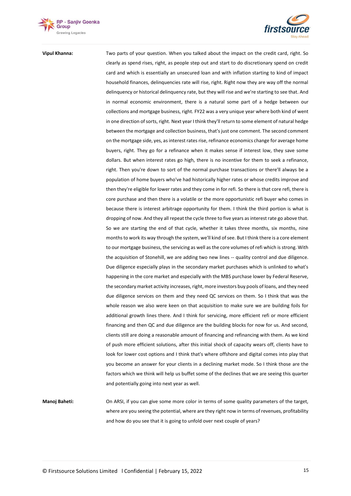



**Vipul Khanna:** Two parts of your question. When you talked about the impact on the credit card, right. So clearly as spend rises, right, as people step out and start to do discretionary spend on credit card and which is essentially an unsecured loan and with inflation starting to kind of impact household finances, delinquencies rate will rise, right. Right now they are way off the normal delinquency or historical delinquency rate, but they will rise and we're starting to see that. And in normal economic environment, there is a natural some part of a hedge between our collections and mortgage business, right. FY22 was a very unique year where both kind of went in one direction of sorts, right. Next year I think they'll return to some element of natural hedge between the mortgage and collection business, that's just one comment. The second comment on the mortgage side, yes, as interest rates rise, refinance economics change for average home buyers, right. They go for a refinance when it makes sense if interest low, they save some dollars. But when interest rates go high, there is no incentive for them to seek a refinance, right. Then you're down to sort of the normal purchase transactions or there'll always be a population of home buyers who've had historically higher rates or whose credits improve and then they're eligible for lower rates and they come in for refi. So there is that core refi, there is core purchase and then there is a volatile or the more opportunistic refi buyer who comes in because there is interest arbitrage opportunity for them. I think the third portion is what is dropping of now. And they all repeat the cycle three to five years as interest rate go above that. So we are starting the end of that cycle, whether it takes three months, six months, nine months to work its way through the system, we'll kind of see. But I think there is a core element to our mortgage business, the servicing as well as the core volumes of refi which is strong. With the acquisition of Stonehill, we are adding two new lines -- quality control and due diligence. Due diligence especially plays in the secondary market purchases which is unlinked to what's happening in the core market and especially with the MBS purchase lower by Federal Reserve, the secondary market activity increases, right, more investors buy pools of loans, and they need due diligence services on them and they need QC services on them. So I think that was the whole reason we also were keen on that acquisition to make sure we are building foils for additional growth lines there. And I think for servicing, more efficient refi or more efficient financing and then QC and due diligence are the building blocks for now for us. And second, clients still are doing a reasonable amount of financing and refinancing with them. As we kind of push more efficient solutions, after this initial shock of capacity wears off, clients have to look for lower cost options and I think that's where offshore and digital comes into play that you become an answer for your clients in a declining market mode. So I think those are the factors which we think will help us buffet some of the declines that we are seeing this quarter and potentially going into next year as well.

**Manoj Baheti:** On ARSI, if you can give some more color in terms of some quality parameters of the target, where are you seeing the potential, where are they right now in terms of revenues, profitability and how do you see that it is going to unfold over next couple of years?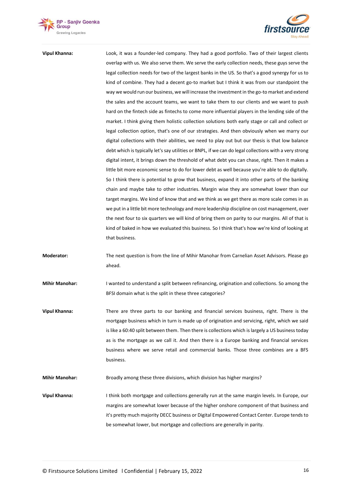



**Vipul Khanna:** Look, it was a founder-led company. They had a good portfolio. Two of their largest clients overlap with us. We also serve them. We serve the early collection needs, these guys serve the legal collection needs for two of the largest banks in the US. So that's a good synergy for us to kind of combine. They had a decent go-to market but I think it was from our standpoint the way we would run our business, we will increase the investment in the go-to market and extend the sales and the account teams, we want to take them to our clients and we want to push hard on the fintech side as fintechs to come more influential players in the lending side of the market. I think giving them holistic collection solutions both early stage or call and collect or legal collection option, that's one of our strategies. And then obviously when we marry our digital collections with their abilities, we need to play out but our thesis is that low balance debt which is typically let's say utilities or BNPL, if we can do legal collections with a very strong digital intent, it brings down the threshold of what debt you can chase, right. Then it makes a little bit more economic sense to do for lower debt as well because you're able to do digitally. So I think there is potential to grow that business, expand it into other parts of the banking chain and maybe take to other industries. Margin wise they are somewhat lower than our target margins. We kind of know that and we think as we get there as more scale comes in as we put in a little bit more technology and more leadership discipline on cost management, over the next four to six quarters we will kind of bring them on parity to our margins. All of that is kind of baked in how we evaluated this business. So I think that's how we're kind of looking at that business.

**Moderator:** The next question is from the line of Mihir Manohar from Carnelian Asset Advisors. Please go ahead.

**Mihir Manohar:** I wanted to understand a split between refinancing, origination and collections. So among the BFSI domain what is the split in these three categories?

**Vipul Khanna:** There are three parts to our banking and financial services business, right. There is the mortgage business which in turn is made up of origination and servicing, right, which we said is like a 60:40 split between them. Then there is collections which is largely a US business today as is the mortgage as we call it. And then there is a Europe banking and financial services business where we serve retail and commercial banks. Those three combines are a BFS business.

**Mihir Manohar:** Broadly among these three divisions, which division has higher margins?

**Vipul Khanna:** I think both mortgage and collections generally run at the same margin levels. In Europe, our margins are somewhat lower because of the higher onshore component of that business and it's pretty much majority DECC business or Digital Empowered Contact Center. Europe tends to be somewhat lower, but mortgage and collections are generally in parity.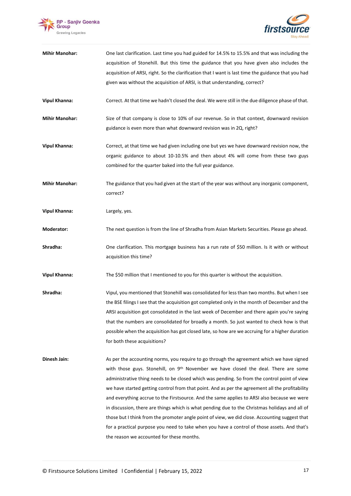



| <b>Mihir Manohar:</b> | One last clarification. Last time you had guided for 14.5% to 15.5% and that was including the<br>acquisition of Stonehill. But this time the guidance that you have given also includes the                                                                                                                                                                                                                                                                                                                                                                                                                                                                                                                                                                                                                                                    |
|-----------------------|-------------------------------------------------------------------------------------------------------------------------------------------------------------------------------------------------------------------------------------------------------------------------------------------------------------------------------------------------------------------------------------------------------------------------------------------------------------------------------------------------------------------------------------------------------------------------------------------------------------------------------------------------------------------------------------------------------------------------------------------------------------------------------------------------------------------------------------------------|
|                       | acquisition of ARSI, right. So the clarification that I want is last time the guidance that you had                                                                                                                                                                                                                                                                                                                                                                                                                                                                                                                                                                                                                                                                                                                                             |
|                       | given was without the acquisition of ARSI, is that understanding, correct?                                                                                                                                                                                                                                                                                                                                                                                                                                                                                                                                                                                                                                                                                                                                                                      |
| <b>Vipul Khanna:</b>  | Correct. At that time we hadn't closed the deal. We were still in the due diligence phase of that.                                                                                                                                                                                                                                                                                                                                                                                                                                                                                                                                                                                                                                                                                                                                              |
| <b>Mihir Manohar:</b> | Size of that company is close to 10% of our revenue. So in that context, downward revision<br>guidance is even more than what downward revision was in 2Q, right?                                                                                                                                                                                                                                                                                                                                                                                                                                                                                                                                                                                                                                                                               |
| <b>Vipul Khanna:</b>  | Correct, at that time we had given including one but yes we have downward revision now, the<br>organic guidance to about 10-10.5% and then about 4% will come from these two guys<br>combined for the quarter baked into the full year guidance.                                                                                                                                                                                                                                                                                                                                                                                                                                                                                                                                                                                                |
| <b>Mihir Manohar:</b> | The guidance that you had given at the start of the year was without any inorganic component,<br>correct?                                                                                                                                                                                                                                                                                                                                                                                                                                                                                                                                                                                                                                                                                                                                       |
| <b>Vipul Khanna:</b>  | Largely, yes.                                                                                                                                                                                                                                                                                                                                                                                                                                                                                                                                                                                                                                                                                                                                                                                                                                   |
| Moderator:            | The next question is from the line of Shradha from Asian Markets Securities. Please go ahead.                                                                                                                                                                                                                                                                                                                                                                                                                                                                                                                                                                                                                                                                                                                                                   |
| Shradha:              | One clarification. This mortgage business has a run rate of \$50 million. Is it with or without<br>acquisition this time?                                                                                                                                                                                                                                                                                                                                                                                                                                                                                                                                                                                                                                                                                                                       |
| <b>Vipul Khanna:</b>  | The \$50 million that I mentioned to you for this quarter is without the acquisition.                                                                                                                                                                                                                                                                                                                                                                                                                                                                                                                                                                                                                                                                                                                                                           |
| Shradha:              | Vipul, you mentioned that Stonehill was consolidated for less than two months. But when I see<br>the BSE filings I see that the acquisition got completed only in the month of December and the<br>ARSI acquisition got consolidated in the last week of December and there again you're saying<br>that the numbers are consolidated for broadly a month. So just wanted to check how is that<br>possible when the acquisition has got closed late, so how are we accruing for a higher duration<br>for both these acquisitions?                                                                                                                                                                                                                                                                                                                |
| Dinesh Jain:          | As per the accounting norms, you require to go through the agreement which we have signed<br>with those guys. Stonehill, on 9 <sup>th</sup> November we have closed the deal. There are some<br>administrative thing needs to be closed which was pending. So from the control point of view<br>we have started getting control from that point. And as per the agreement all the profitability<br>and everything accrue to the Firstsource. And the same applies to ARSI also because we were<br>in discussion, there are things which is what pending due to the Christmas holidays and all of<br>those but I think from the promoter angle point of view, we did close. Accounting suggest that<br>for a practical purpose you need to take when you have a control of those assets. And that's<br>the reason we accounted for these months. |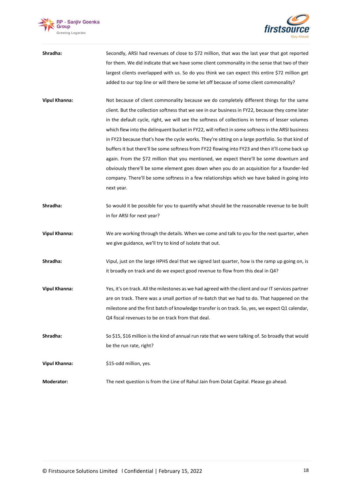



| Shradha:             | Secondly, ARSI had revenues of close to \$72 million, that was the last year that got reported<br>for them. We did indicate that we have some client commonality in the sense that two of their<br>largest clients overlapped with us. So do you think we can expect this entire \$72 million get<br>added to our top line or will there be some let off because of some client commonality?                                                                                                                                                                                                                                                                                                                                                                                                                                                                                                                        |
|----------------------|---------------------------------------------------------------------------------------------------------------------------------------------------------------------------------------------------------------------------------------------------------------------------------------------------------------------------------------------------------------------------------------------------------------------------------------------------------------------------------------------------------------------------------------------------------------------------------------------------------------------------------------------------------------------------------------------------------------------------------------------------------------------------------------------------------------------------------------------------------------------------------------------------------------------|
| <b>Vipul Khanna:</b> | Not because of client commonality because we do completely different things for the same<br>client. But the collection softness that we see in our business in FY22, because they come later<br>in the default cycle, right, we will see the softness of collections in terms of lesser volumes<br>which flew into the delinguent bucket in FY22, will reflect in some softness in the ARSI business<br>in FY23 because that's how the cycle works. They're sitting on a large portfolio. So that kind of<br>buffers it but there'll be some softness from FY22 flowing into FY23 and then it'll come back up<br>again. From the \$72 million that you mentioned, we expect there'll be some downturn and<br>obviously there'll be some element goes down when you do an acquisition for a founder-led<br>company. There'll be some softness in a few relationships which we have baked in going into<br>next year. |
| Shradha:             | So would it be possible for you to quantify what should be the reasonable revenue to be built<br>in for ARSI for next year?                                                                                                                                                                                                                                                                                                                                                                                                                                                                                                                                                                                                                                                                                                                                                                                         |
| <b>Vipul Khanna:</b> | We are working through the details. When we come and talk to you for the next quarter, when<br>we give guidance, we'll try to kind of isolate that out.                                                                                                                                                                                                                                                                                                                                                                                                                                                                                                                                                                                                                                                                                                                                                             |
| Shradha:             | Vipul, just on the large HPHS deal that we signed last quarter, how is the ramp up going on, is<br>it broadly on track and do we expect good revenue to flow from this deal in Q4?                                                                                                                                                                                                                                                                                                                                                                                                                                                                                                                                                                                                                                                                                                                                  |
| <b>Vipul Khanna:</b> | Yes, it's on track. All the milestones as we had agreed with the client and our IT services partner<br>are on track. There was a small portion of re-batch that we had to do. That happened on the<br>milestone and the first batch of knowledge transfer is on track. So, yes, we expect Q1 calendar,<br>Q4 fiscal revenues to be on track from that deal.                                                                                                                                                                                                                                                                                                                                                                                                                                                                                                                                                         |
| Shradha:             | So \$15, \$16 million is the kind of annual run rate that we were talking of. So broadly that would<br>be the run rate, right?                                                                                                                                                                                                                                                                                                                                                                                                                                                                                                                                                                                                                                                                                                                                                                                      |
| <b>Vipul Khanna:</b> | \$15-odd million, yes.                                                                                                                                                                                                                                                                                                                                                                                                                                                                                                                                                                                                                                                                                                                                                                                                                                                                                              |
| Moderator:           | The next question is from the Line of Rahul Jain from Dolat Capital. Please go ahead.                                                                                                                                                                                                                                                                                                                                                                                                                                                                                                                                                                                                                                                                                                                                                                                                                               |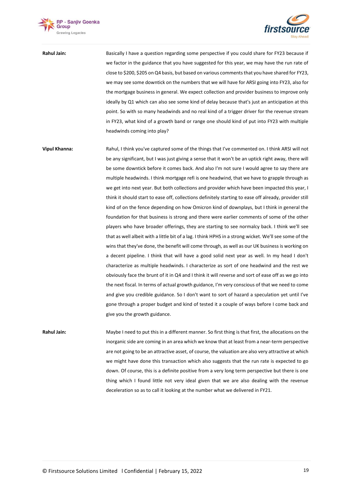



**Rahul Jain:** Basically I have a question regarding some perspective if you could share for FY23 because if we factor in the guidance that you have suggested for this year, we may have the run rate of close to \$200, \$205 on Q4 basis, but based on various comments that you have shared for FY23, we may see some downtick on the numbers that we will have for ARSI going into FY23, also for the mortgage business in general. We expect collection and provider business to improve only ideally by Q1 which can also see some kind of delay because that's just an anticipation at this point. So with so many headwinds and no real kind of a trigger driver for the revenue stream in FY23, what kind of a growth band or range one should kind of put into FY23 with multiple headwinds coming into play?

**Vipul Khanna:** Rahul, I think you've captured some of the things that I've commented on. I think ARSI will not be any significant, but I was just giving a sense that it won't be an uptick right away, there will be some downtick before it comes back. And also I'm not sure I would agree to say there are multiple headwinds. I think mortgage refi is one headwind, that we have to grapple through as we get into next year. But both collections and provider which have been impacted this year, I think it should start to ease off, collections definitely starting to ease off already, provider still kind of on the fence depending on how Omicron kind of downplays, but I think in general the foundation for that business is strong and there were earlier comments of some of the other players who have broader offerings, they are starting to see normalcy back. I think we'll see that as well albeit with a little bit of a lag. I think HPHS in a strong wicket. We'll see some of the wins that they've done, the benefit will come through, as well as our UK business is working on a decent pipeline. I think that will have a good solid next year as well. In my head I don't characterize as multiple headwinds. I characterize as sort of one headwind and the rest we obviously face the brunt of it in Q4 and I think it will reverse and sort of ease off as we go into the next fiscal. In terms of actual growth guidance, I'm very conscious of that we need to come and give you credible guidance. So I don't want to sort of hazard a speculation yet until I've gone through a proper budget and kind of tested it a couple of ways before I come back and give you the growth guidance.

**Rahul Jain:** Maybe I need to put this in a different manner. So first thing is that first, the allocations on the inorganic side are coming in an area which we know that at least from a near-term perspective are not going to be an attractive asset, of course, the valuation are also very attractive at which we might have done this transaction which also suggests that the run rate is expected to go down. Of course, this is a definite positive from a very long term perspective but there is one thing which I found little not very ideal given that we are also dealing with the revenue deceleration so as to call it looking at the number what we delivered in FY21.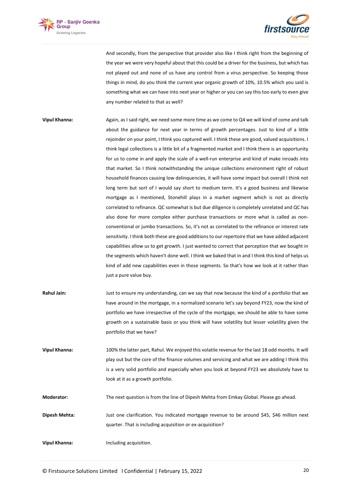



And secondly, from the perspective that provider also like I think right from the beginning of the year we were very hopeful about that this could be a driver for the business, but which has not played out and none of us have any control from a virus perspective. So keeping those things in mind, do you think the current year organic growth of 10%, 10.5% which you said is something what we can have into next year or higher or you can say this too early to even give any number related to that as well?

- **Vipul Khanna:** Again, as I said right, we need some more time as we come to Q4 we will kind of come and talk about the guidance for next year in terms of growth percentages. Just to kind of a little rejoinder on your point, I think you captured well. I think these are good, valued acquisitions. I think legal collections is a little bit of a fragmented market and I think there is an opportunity for us to come in and apply the scale of a well-run enterprise and kind of make inroads into that market. So I think notwithstanding the unique collections environment right of robust household finances causing low delinquencies, it will have some impact but overall I think not long term but sort of I would say short to medium term. It's a good business and likewise mortgage as I mentioned, Stonehill plays in a market segment which is not as directly correlated to refinance. QC somewhat is but due diligence is completely unrelated and QC has also done for more complex either purchase transactions or more what is called as nonconventional or jumbo transactions. So, it's not as correlated to the refinance or interest rate sensitivity. I think both these are good additions to our repertoire that we have added adjacent capabilities allow us to get growth. I just wanted to correct that perception that we bought in the segments which haven't done well. I think we baked that in and I think this kind of helps us kind of add new capabilities even in those segments. So that's how we look at it rather than just a pure value buy.
- **Rahul Jain:** Just to ensure my understanding, can we say that now because the kind of a portfolio that we have around in the mortgage, in a normalized scenario let's say beyond FY23, now the kind of portfolio we have irrespective of the cycle of the mortgage, we should be able to have some growth on a sustainable basis or you think will have volatility but lesser volatility given the portfolio that we have?
- **Vipul Khanna:** 100% the latter part, Rahul. We enjoyed this volatile revenue for the last 18 odd months. It will play out but the core of the finance volumes and servicing and what we are adding I think this is a very solid portfolio and especially when you look at beyond FY23 we absolutely have to look at it as a growth portfolio.

**Moderator:** The next question is from the line of Dipesh Mehta from Emkay Global. Please go ahead.

- **Dipesh Mehta:** Just one clarification. You indicated mortgage revenue to be around \$45, \$46 million next quarter. That is including acquisition or ex-acquisition?
- **Vipul Khanna:** Including acquisition.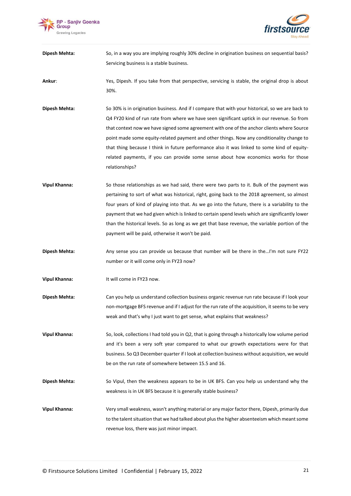



**Dipesh Mehta:** So, in a way you are implying roughly 30% decline in origination business on sequential basis? Servicing business is a stable business.

**Ankur**: Yes, Dipesh. If you take from that perspective, servicing is stable, the original drop is about 30%.

- **Dipesh Mehta:** So 30% is in origination business. And if I compare that with your historical, so we are back to Q4 FY20 kind of run rate from where we have seen significant uptick in our revenue. So from that context now we have signed some agreement with one of the anchor clients where Source point made some equity-related payment and other things. Now any conditionality change to that thing because I think in future performance also it was linked to some kind of equityrelated payments, if you can provide some sense about how economics works for those relationships?
- **Vipul Khanna:** So those relationships as we had said, there were two parts to it. Bulk of the payment was pertaining to sort of what was historical, right, going back to the 2018 agreement, so almost four years of kind of playing into that. As we go into the future, there is a variability to the payment that we had given which is linked to certain spend levels which are significantly lower than the historical levels. So as long as we get that base revenue, the variable portion of the payment will be paid, otherwise it won't be paid.
- **Dipesh Mehta:** Any sense you can provide us because that number will be there in the…I'm not sure FY22 number or it will come only in FY23 now?
- **Vipul Khanna:** It will come in FY23 now.
- **Dipesh Mehta:** Can you help us understand collection business organic revenue run rate because if I look your non-mortgage BFS revenue and if I adjust for the run rate of the acquisition, it seems to be very weak and that's why I just want to get sense, what explains that weakness?
- **Vipul Khanna:** So, look, collections I had told you in Q2, that is going through a historically low volume period and it's been a very soft year compared to what our growth expectations were for that business. So Q3 December quarter if I look at collection business without acquisition, we would be on the run rate of somewhere between 15.5 and 16.
- **Dipesh Mehta:** So Vipul, then the weakness appears to be in UK BFS. Can you help us understand why the weakness is in UK BFS because it is generally stable business?
- **Vipul Khanna:** Very small weakness, wasn't anything material or any major factor there, Dipesh, primarily due to the talent situation that we had talked about plus the higher absenteeism which meant some revenue loss, there was just minor impact.